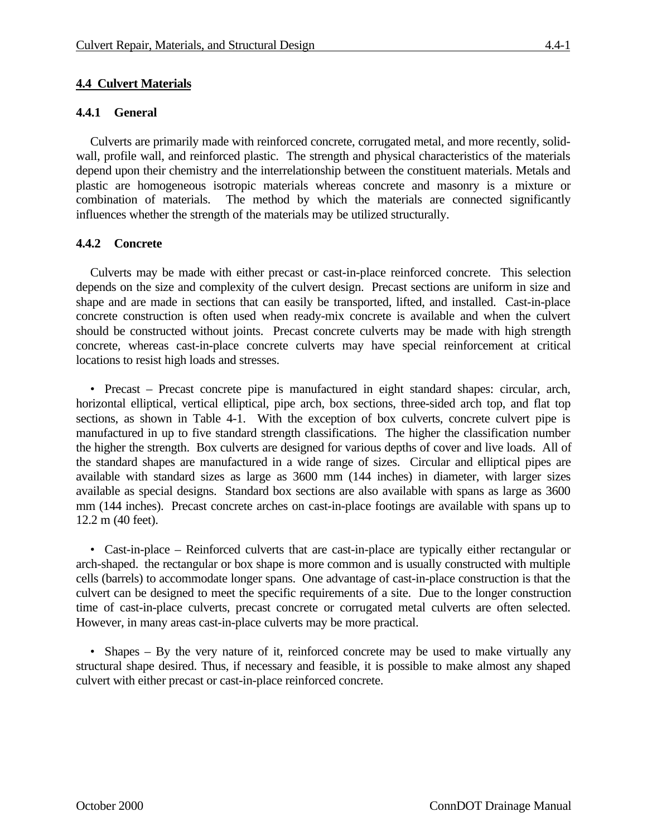# **4.4 Culvert Materials**

### **4.4.1 General**

Culverts are primarily made with reinforced concrete, corrugated metal, and more recently, solidwall, profile wall, and reinforced plastic. The strength and physical characteristics of the materials depend upon their chemistry and the interrelationship between the constituent materials. Metals and plastic are homogeneous isotropic materials whereas concrete and masonry is a mixture or combination of materials. The method by which the materials are connected significantly influences whether the strength of the materials may be utilized structurally.

# **4.4.2 Concrete**

Culverts may be made with either precast or cast-in-place reinforced concrete. This selection depends on the size and complexity of the culvert design. Precast sections are uniform in size and shape and are made in sections that can easily be transported, lifted, and installed. Cast-in-place concrete construction is often used when ready-mix concrete is available and when the culvert should be constructed without joints. Precast concrete culverts may be made with high strength concrete, whereas cast-in-place concrete culverts may have special reinforcement at critical locations to resist high loads and stresses.

• Precast – Precast concrete pipe is manufactured in eight standard shapes: circular, arch, horizontal elliptical, vertical elliptical, pipe arch, box sections, three-sided arch top, and flat top sections, as shown in Table 4-1. With the exception of box culverts, concrete culvert pipe is manufactured in up to five standard strength classifications. The higher the classification number the higher the strength. Box culverts are designed for various depths of cover and live loads. All of the standard shapes are manufactured in a wide range of sizes. Circular and elliptical pipes are available with standard sizes as large as 3600 mm (144 inches) in diameter, with larger sizes available as special designs. Standard box sections are also available with spans as large as 3600 mm (144 inches). Precast concrete arches on cast-in-place footings are available with spans up to 12.2 m (40 feet).

• Cast-in-place – Reinforced culverts that are cast-in-place are typically either rectangular or arch-shaped. the rectangular or box shape is more common and is usually constructed with multiple cells (barrels) to accommodate longer spans. One advantage of cast-in-place construction is that the culvert can be designed to meet the specific requirements of a site. Due to the longer construction time of cast-in-place culverts, precast concrete or corrugated metal culverts are often selected. However, in many areas cast-in-place culverts may be more practical.

• Shapes – By the very nature of it, reinforced concrete may be used to make virtually any structural shape desired. Thus, if necessary and feasible, it is possible to make almost any shaped culvert with either precast or cast-in-place reinforced concrete.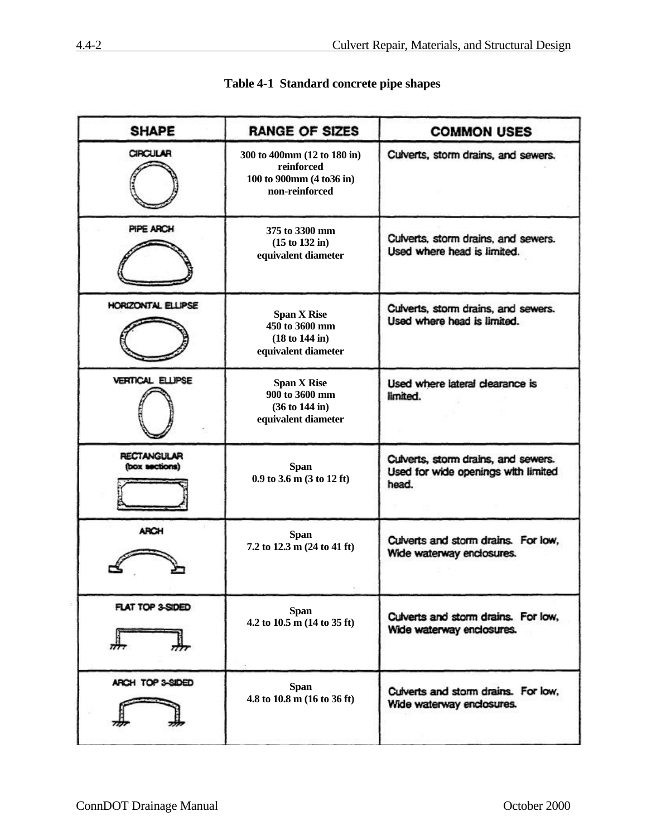| <b>SHAPE</b>                         | <b>RANGE OF SIZES</b>                                                                              | <b>COMMON USES</b>                                                                  |
|--------------------------------------|----------------------------------------------------------------------------------------------------|-------------------------------------------------------------------------------------|
| <b>CIRCULAR</b>                      | 300 to 400mm (12 to 180 in)<br>reinforced<br>100 to 900mm (4 to 36 in)<br>non-reinforced           | Cuiverts, storm drains, and sewers.                                                 |
| PIPE ARCH                            | 375 to 3300 mm<br>$(15 \text{ to } 132 \text{ in})$<br>equivalent diameter                         | Culverts, storm drains, and sewers.<br>Used where head is limited.                  |
| HORIZONTAL ELLIPSE                   | <b>Span X Rise</b><br>450 to 3600 mm<br>(18 to 144 in)<br>equivalent diameter                      | Culverts, storm drains, and sewers.<br>Used where head is limited.                  |
| <b>VERTICAL ELLIPSE</b>              | <b>Span X Rise</b><br>$900$ to 3600 mm<br>$(36 \text{ to } 144 \text{ in})$<br>equivalent diameter | Used where lateral clearance is<br>limited.                                         |
| <b>RECTANGULAR</b><br>(box sections) | <b>Span</b><br>$0.9$ to 3.6 m (3 to 12 ft)                                                         | Culverts, storm drains, and sewers.<br>Used for wide openings with limited<br>head. |
| <b>ARCH</b>                          | <b>Span</b><br>7.2 to 12.3 m (24 to 41 ft)                                                         | Cuiverts and storm drains. For low,<br>Wide waterway enclosures.                    |
| FLAT TOP 3-SIDED                     | <b>Span</b><br>4.2 to $10.5 \text{ m}$ (14 to 35 ft)                                               | Cuiverts and storm drains. For low,<br>Wide waterway enclosures.                    |
| ARCH TOP 3-SIDED                     | <b>Span</b><br>4.8 to $10.8 \text{ m}$ (16 to 36 ft)                                               | Cuiverts and storm drains. For low,<br>Wide waterway enclosures.                    |

# **Table 4-1 Standard concrete pipe shapes**

÷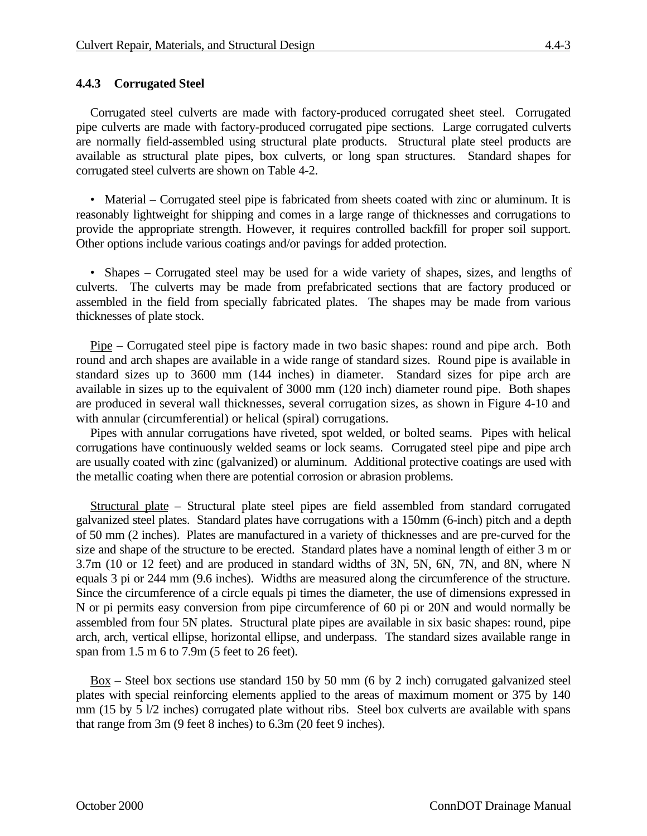# **4.4.3 Corrugated Steel**

Corrugated steel culverts are made with factory-produced corrugated sheet steel. Corrugated pipe culverts are made with factory-produced corrugated pipe sections. Large corrugated culverts are normally field-assembled using structural plate products. Structural plate steel products are available as structural plate pipes, box culverts, or long span structures. Standard shapes for corrugated steel culverts are shown on Table 4-2.

• Material – Corrugated steel pipe is fabricated from sheets coated with zinc or aluminum. It is reasonably lightweight for shipping and comes in a large range of thicknesses and corrugations to provide the appropriate strength. However, it requires controlled backfill for proper soil support. Other options include various coatings and/or pavings for added protection.

• Shapes – Corrugated steel may be used for a wide variety of shapes, sizes, and lengths of culverts. The culverts may be made from prefabricated sections that are factory produced or assembled in the field from specially fabricated plates. The shapes may be made from various thicknesses of plate stock.

Pipe – Corrugated steel pipe is factory made in two basic shapes: round and pipe arch. Both round and arch shapes are available in a wide range of standard sizes. Round pipe is available in standard sizes up to 3600 mm (144 inches) in diameter. Standard sizes for pipe arch are available in sizes up to the equivalent of 3000 mm (120 inch) diameter round pipe. Both shapes are produced in several wall thicknesses, several corrugation sizes, as shown in Figure 4-10 and with annular (circumferential) or helical (spiral) corrugations.

Pipes with annular corrugations have riveted, spot welded, or bolted seams. Pipes with helical corrugations have continuously welded seams or lock seams. Corrugated steel pipe and pipe arch are usually coated with zinc (galvanized) or aluminum. Additional protective coatings are used with the metallic coating when there are potential corrosion or abrasion problems.

Structural plate – Structural plate steel pipes are field assembled from standard corrugated galvanized steel plates. Standard plates have corrugations with a 150mm (6-inch) pitch and a depth of 50 mm (2 inches). Plates are manufactured in a variety of thicknesses and are pre-curved for the size and shape of the structure to be erected. Standard plates have a nominal length of either 3 m or 3.7m (10 or 12 feet) and are produced in standard widths of 3N, 5N, 6N, 7N, and 8N, where N equals 3 pi or 244 mm (9.6 inches). Widths are measured along the circumference of the structure. Since the circumference of a circle equals pi times the diameter, the use of dimensions expressed in N or pi permits easy conversion from pipe circumference of 60 pi or 20N and would normally be assembled from four 5N plates. Structural plate pipes are available in six basic shapes: round, pipe arch, arch, vertical ellipse, horizontal ellipse, and underpass. The standard sizes available range in span from 1.5 m 6 to 7.9m (5 feet to 26 feet).

 $Box -$  Steel box sections use standard 150 by 50 mm (6 by 2 inch) corrugated galvanized steel plates with special reinforcing elements applied to the areas of maximum moment or 375 by 140 mm (15 by 5 l/2 inches) corrugated plate without ribs. Steel box culverts are available with spans that range from 3m (9 feet 8 inches) to 6.3m (20 feet 9 inches).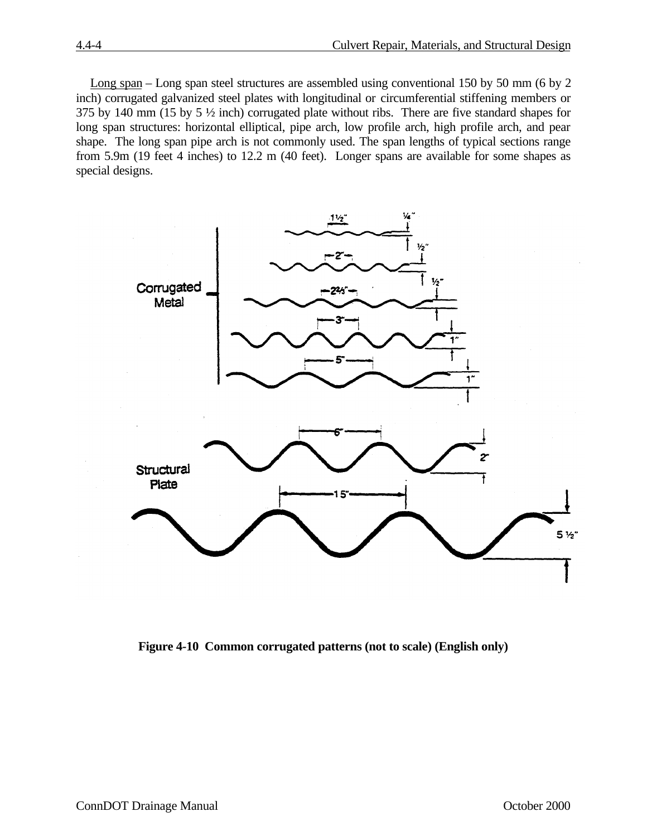Long span – Long span steel structures are assembled using conventional 150 by 50 mm (6 by 2 inch) corrugated galvanized steel plates with longitudinal or circumferential stiffening members or 375 by 140 mm (15 by 5 ½ inch) corrugated plate without ribs. There are five standard shapes for long span structures: horizontal elliptical, pipe arch, low profile arch, high profile arch, and pear shape. The long span pipe arch is not commonly used. The span lengths of typical sections range from 5.9m (19 feet 4 inches) to 12.2 m (40 feet). Longer spans are available for some shapes as special designs.



**Figure 4-10 Common corrugated patterns (not to scale) (English only)**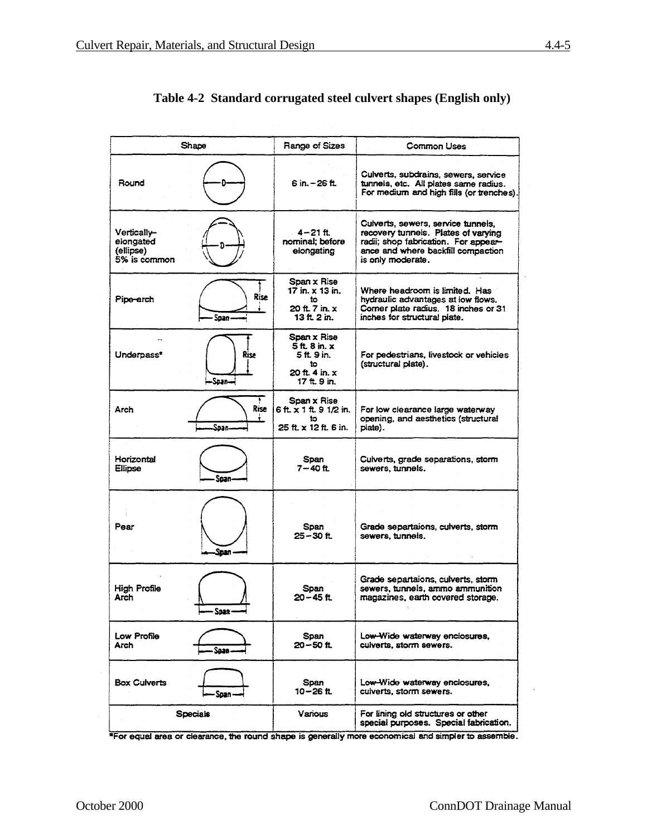|                                                       | Shape               | Range of Sizes                                                                     | <b>Common Uses</b>                                                                                                                                                           |
|-------------------------------------------------------|---------------------|------------------------------------------------------------------------------------|------------------------------------------------------------------------------------------------------------------------------------------------------------------------------|
| Round                                                 |                     | 6 in. - 26 ft.                                                                     | Cuiverts, subdrains, sewers, service<br>tunnels, etc. All plates same radius.<br>For medium and high fills (or trenches).                                                    |
| Vertically-<br>elongated<br>(ellipse)<br>5% is common |                     | $4 - 21$ ft.<br>nominal: before<br>elongating                                      | Cuiverts, sewers, service tunnels,<br>recovery tunnels. Plates of varying<br>radii; shop fabrication. For appear-<br>ance and where backfill compaction<br>is only moderate. |
| Pipe-arch                                             | <b>Rise</b><br>Span | Span x Rise<br>17 in. x 13 in.<br>î٥<br>20 ft. 7 in. x<br>13 ft 2 in.              | Where headroom is limited. Has<br>hydraulic advantages at low flows.<br>Corner plate radius. 18 inches or 31<br>inches for structural plate.                                 |
| Underpass*                                            | Rise<br>-Soan-      | Span x Rise<br>5 ft 8 in. x<br>5 ft. 9 in.<br>to<br>20 ft. 4 in. x<br>17 ft. 9 in. | For pedestrians, livestock or vehicles<br>(structural plate).                                                                                                                |
| Arch                                                  | ÷<br>Rise<br>Soan-  | Span x Rise<br>6 ft. x 1 ft. 9 1/2 in.<br>to<br>25 ft x 12 ft 6 in.                | For low clearance large waterway<br>opening, and aesthetics (structural<br>plate).                                                                                           |
| Horizontal<br><b>Ellipse</b>                          | Soan-               | Span<br>7–40 ft.                                                                   | Cuiverts, grade separations, storm<br>sewers, tunnels.                                                                                                                       |
| Pear                                                  | Snan                | Span<br>25-30 ft.                                                                  | Grade separtaions, culverts, storm<br>sewers, tunnels,                                                                                                                       |
| Hiah Profile<br>Arch                                  | - Span ——           | Span<br>20-45 ft                                                                   | Grade separtaions, culverts, storm<br>sewers, tunnels, ammo ammunition<br>magazines, earth covered storage.                                                                  |
| Low Profile<br>Arch                                   | Soan-               | Span<br>20-50 ft.                                                                  | Low-Wide waterway enclosures,<br>cuiverts, storm sewers.                                                                                                                     |
| <b>Box Culverts</b>                                   | -Span               | Span<br>10–26 ft.                                                                  | Low-Wide waterway enclosures,<br>cuiverts, storm sewers.                                                                                                                     |
|                                                       | <b>Specials</b>     | Various                                                                            | For lining old structures or other<br>special purposes. Special fabrication.                                                                                                 |

# **Table 4-2 Standard corrugated steel culvert shapes (English only)**

\*For equal area or clearance, the round shape is generally more economical and simpler to assemble.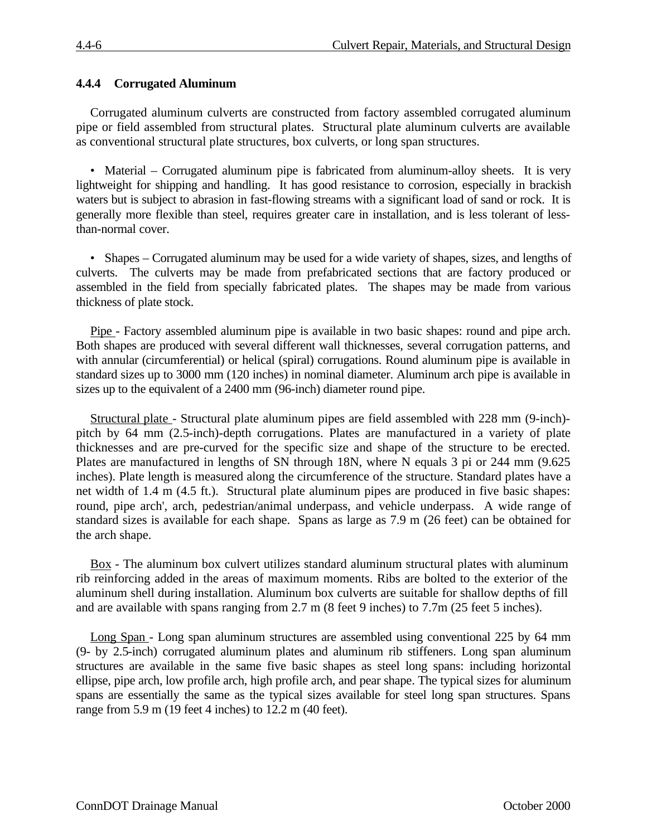#### **4.4.4 Corrugated Aluminum**

Corrugated aluminum culverts are constructed from factory assembled corrugated aluminum pipe or field assembled from structural plates. Structural plate aluminum culverts are available as conventional structural plate structures, box culverts, or long span structures.

• Material – Corrugated aluminum pipe is fabricated from aluminum-alloy sheets. It is very lightweight for shipping and handling. It has good resistance to corrosion, especially in brackish waters but is subject to abrasion in fast-flowing streams with a significant load of sand or rock. It is generally more flexible than steel, requires greater care in installation, and is less tolerant of lessthan-normal cover.

• Shapes – Corrugated aluminum may be used for a wide variety of shapes, sizes, and lengths of culverts. The culverts may be made from prefabricated sections that are factory produced or assembled in the field from specially fabricated plates. The shapes may be made from various thickness of plate stock.

Pipe - Factory assembled aluminum pipe is available in two basic shapes: round and pipe arch. Both shapes are produced with several different wall thicknesses, several corrugation patterns, and with annular (circumferential) or helical (spiral) corrugations. Round aluminum pipe is available in standard sizes up to 3000 mm (120 inches) in nominal diameter. Aluminum arch pipe is available in sizes up to the equivalent of a 2400 mm (96-inch) diameter round pipe.

Structural plate - Structural plate aluminum pipes are field assembled with 228 mm (9-inch) pitch by 64 mm (2.5-inch)-depth corrugations. Plates are manufactured in a variety of plate thicknesses and are pre-curved for the specific size and shape of the structure to be erected. Plates are manufactured in lengths of SN through 18N, where N equals 3 pi or 244 mm (9.625 inches). Plate length is measured along the circumference of the structure. Standard plates have a net width of 1.4 m (4.5 ft.). Structural plate aluminum pipes are produced in five basic shapes: round, pipe arch', arch, pedestrian/animal underpass, and vehicle underpass. A wide range of standard sizes is available for each shape. Spans as large as 7.9 m (26 feet) can be obtained for the arch shape.

Box - The aluminum box culvert utilizes standard aluminum structural plates with aluminum rib reinforcing added in the areas of maximum moments. Ribs are bolted to the exterior of the aluminum shell during installation. Aluminum box culverts are suitable for shallow depths of fill and are available with spans ranging from 2.7 m (8 feet 9 inches) to 7.7m (25 feet 5 inches).

Long Span - Long span aluminum structures are assembled using conventional 225 by 64 mm (9- by 2.5-inch) corrugated aluminum plates and aluminum rib stiffeners. Long span aluminum structures are available in the same five basic shapes as steel long spans: including horizontal ellipse, pipe arch, low profile arch, high profile arch, and pear shape. The typical sizes for aluminum spans are essentially the same as the typical sizes available for steel long span structures. Spans range from 5.9 m (19 feet 4 inches) to 12.2 m (40 feet).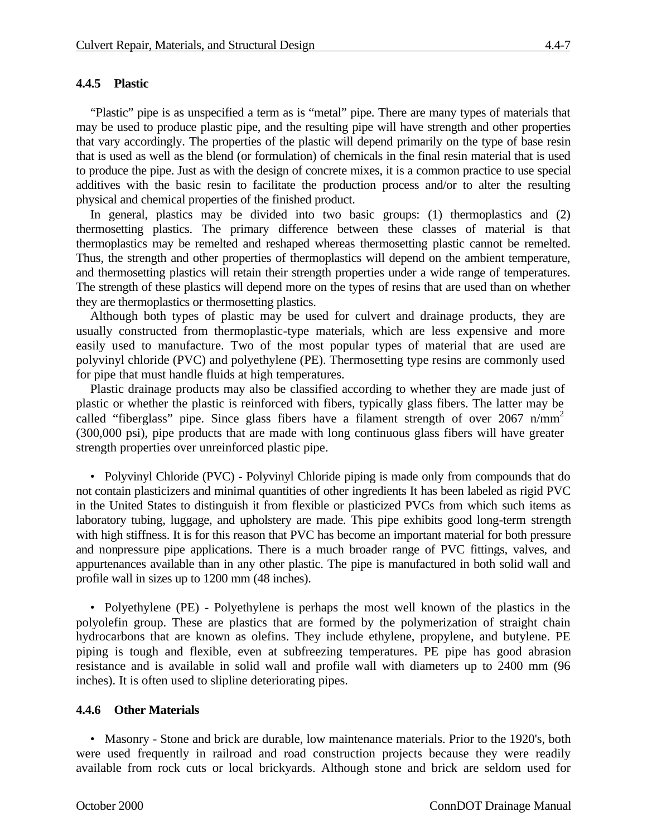#### **4.4.5 Plastic**

"Plastic" pipe is as unspecified a term as is "metal" pipe. There are many types of materials that may be used to produce plastic pipe, and the resulting pipe will have strength and other properties that vary accordingly. The properties of the plastic will depend primarily on the type of base resin that is used as well as the blend (or formulation) of chemicals in the final resin material that is used to produce the pipe. Just as with the design of concrete mixes, it is a common practice to use special additives with the basic resin to facilitate the production process and/or to alter the resulting physical and chemical properties of the finished product.

In general, plastics may be divided into two basic groups: (1) thermoplastics and (2) thermosetting plastics. The primary difference between these classes of material is that thermoplastics may be remelted and reshaped whereas thermosetting plastic cannot be remelted. Thus, the strength and other properties of thermoplastics will depend on the ambient temperature, and thermosetting plastics will retain their strength properties under a wide range of temperatures. The strength of these plastics will depend more on the types of resins that are used than on whether they are thermoplastics or thermosetting plastics.

Although both types of plastic may be used for culvert and drainage products, they are usually constructed from thermoplastic-type materials, which are less expensive and more easily used to manufacture. Two of the most popular types of material that are used are polyvinyl chloride (PVC) and polyethylene (PE). Thermosetting type resins are commonly used for pipe that must handle fluids at high temperatures.

Plastic drainage products may also be classified according to whether they are made just of plastic or whether the plastic is reinforced with fibers, typically glass fibers. The latter may be called "fiberglass" pipe. Since glass fibers have a filament strength of over 2067 n/mm<sup>2</sup> (300,000 psi), pipe products that are made with long continuous glass fibers will have greater strength properties over unreinforced plastic pipe.

• Polyvinyl Chloride (PVC) - Polyvinyl Chloride piping is made only from compounds that do not contain plasticizers and minimal quantities of other ingredients It has been labeled as rigid PVC in the United States to distinguish it from flexible or plasticized PVCs from which such items as laboratory tubing, luggage, and upholstery are made. This pipe exhibits good long-term strength with high stiffness. It is for this reason that PVC has become an important material for both pressure and nonpressure pipe applications. There is a much broader range of PVC fittings, valves, and appurtenances available than in any other plastic. The pipe is manufactured in both solid wall and profile wall in sizes up to 1200 mm (48 inches).

• Polyethylene (PE) - Polyethylene is perhaps the most well known of the plastics in the polyolefin group. These are plastics that are formed by the polymerization of straight chain hydrocarbons that are known as olefins. They include ethylene, propylene, and butylene. PE piping is tough and flexible, even at subfreezing temperatures. PE pipe has good abrasion resistance and is available in solid wall and profile wall with diameters up to 2400 mm (96 inches). It is often used to slipline deteriorating pipes.

#### **4.4.6 Other Materials**

• Masonry - Stone and brick are durable, low maintenance materials. Prior to the 1920's, both were used frequently in railroad and road construction projects because they were readily available from rock cuts or local brickyards. Although stone and brick are seldom used for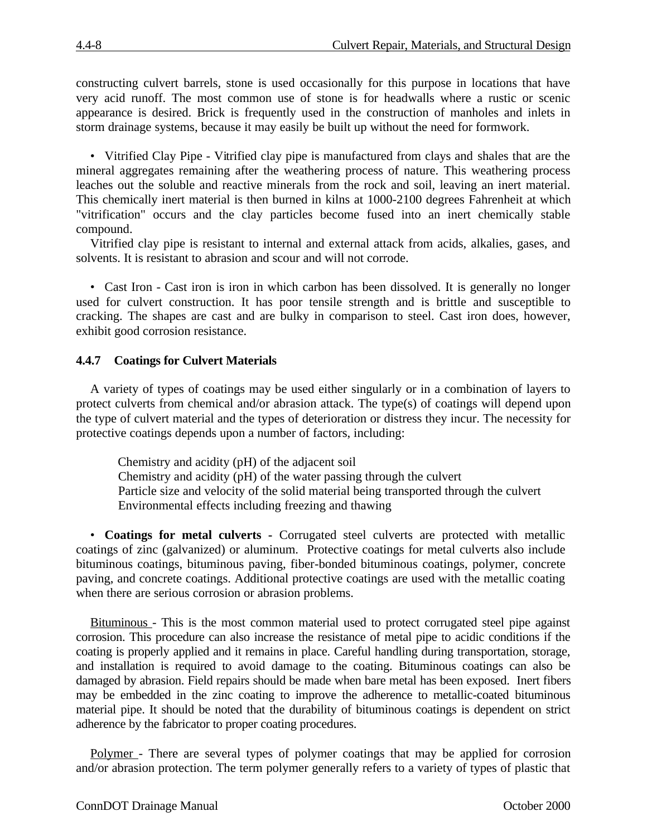constructing culvert barrels, stone is used occasionally for this purpose in locations that have very acid runoff. The most common use of stone is for headwalls where a rustic or scenic appearance is desired. Brick is frequently used in the construction of manholes and inlets in storm drainage systems, because it may easily be built up without the need for formwork.

• Vitrified Clay Pipe - Vitrified clay pipe is manufactured from clays and shales that are the mineral aggregates remaining after the weathering process of nature. This weathering process leaches out the soluble and reactive minerals from the rock and soil, leaving an inert material. This chemically inert material is then burned in kilns at 1000-2100 degrees Fahrenheit at which "vitrification" occurs and the clay particles become fused into an inert chemically stable compound.

Vitrified clay pipe is resistant to internal and external attack from acids, alkalies, gases, and solvents. It is resistant to abrasion and scour and will not corrode.

• Cast Iron - Cast iron is iron in which carbon has been dissolved. It is generally no longer used for culvert construction. It has poor tensile strength and is brittle and susceptible to cracking. The shapes are cast and are bulky in comparison to steel. Cast iron does, however, exhibit good corrosion resistance.

#### **4.4.7 Coatings for Culvert Materials**

A variety of types of coatings may be used either singularly or in a combination of layers to protect culverts from chemical and/or abrasion attack. The type(s) of coatings will depend upon the type of culvert material and the types of deterioration or distress they incur. The necessity for protective coatings depends upon a number of factors, including:

Chemistry and acidity (pH) of the adjacent soil

Chemistry and acidity (pH) of the water passing through the culvert Particle size and velocity of the solid material being transported through the culvert

Environmental effects including freezing and thawing

• **Coatings for metal culverts -** Corrugated steel culverts are protected with metallic coatings of zinc (galvanized) or aluminum. Protective coatings for metal culverts also include bituminous coatings, bituminous paving, fiber-bonded bituminous coatings, polymer, concrete paving, and concrete coatings. Additional protective coatings are used with the metallic coating when there are serious corrosion or abrasion problems.

Bituminous - This is the most common material used to protect corrugated steel pipe against corrosion. This procedure can also increase the resistance of metal pipe to acidic conditions if the coating is properly applied and it remains in place. Careful handling during transportation, storage, and installation is required to avoid damage to the coating. Bituminous coatings can also be damaged by abrasion. Field repairs should be made when bare metal has been exposed. Inert fibers may be embedded in the zinc coating to improve the adherence to metallic-coated bituminous material pipe. It should be noted that the durability of bituminous coatings is dependent on strict adherence by the fabricator to proper coating procedures.

Polymer - There are several types of polymer coatings that may be applied for corrosion and/or abrasion protection. The term polymer generally refers to a variety of types of plastic that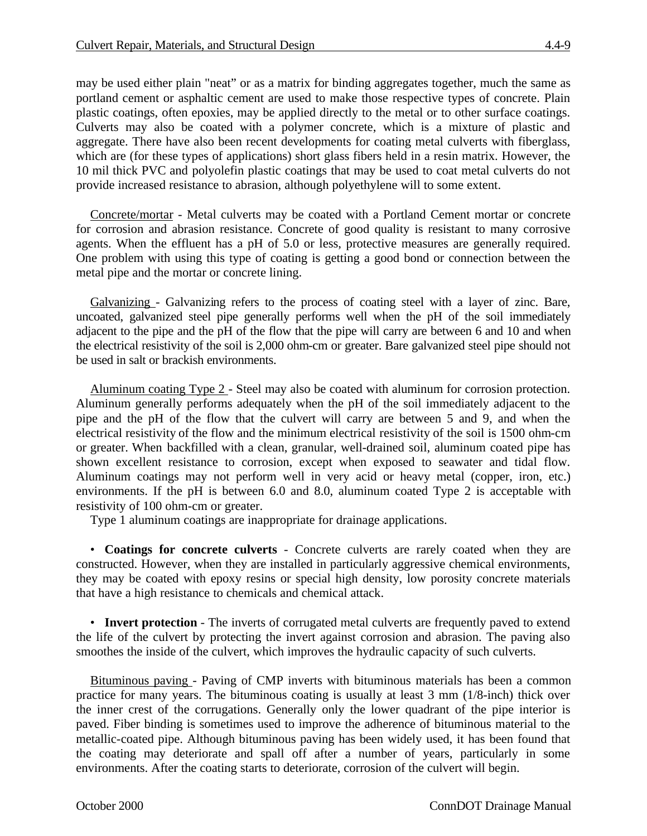may be used either plain "neat" or as a matrix for binding aggregates together, much the same as portland cement or asphaltic cement are used to make those respective types of concrete. Plain plastic coatings, often epoxies, may be applied directly to the metal or to other surface coatings. Culverts may also be coated with a polymer concrete, which is a mixture of plastic and aggregate. There have also been recent developments for coating metal culverts with fiberglass, which are (for these types of applications) short glass fibers held in a resin matrix. However, the 10 mil thick PVC and polyolefin plastic coatings that may be used to coat metal culverts do not provide increased resistance to abrasion, although polyethylene will to some extent.

Concrete/mortar - Metal culverts may be coated with a Portland Cement mortar or concrete for corrosion and abrasion resistance. Concrete of good quality is resistant to many corrosive agents. When the effluent has a pH of 5.0 or less, protective measures are generally required. One problem with using this type of coating is getting a good bond or connection between the metal pipe and the mortar or concrete lining.

Galvanizing - Galvanizing refers to the process of coating steel with a layer of zinc. Bare, uncoated, galvanized steel pipe generally performs well when the pH of the soil immediately adjacent to the pipe and the pH of the flow that the pipe will carry are between 6 and 10 and when the electrical resistivity of the soil is 2,000 ohm-cm or greater. Bare galvanized steel pipe should not be used in salt or brackish environments.

Aluminum coating Type 2 - Steel may also be coated with aluminum for corrosion protection. Aluminum generally performs adequately when the pH of the soil immediately adjacent to the pipe and the pH of the flow that the culvert will carry are between 5 and 9, and when the electrical resistivity of the flow and the minimum electrical resistivity of the soil is 1500 ohm-cm or greater. When backfilled with a clean, granular, well-drained soil, aluminum coated pipe has shown excellent resistance to corrosion, except when exposed to seawater and tidal flow. Aluminum coatings may not perform well in very acid or heavy metal (copper, iron, etc.) environments. If the pH is between 6.0 and 8.0, aluminum coated Type 2 is acceptable with resistivity of 100 ohm-cm or greater.

Type 1 aluminum coatings are inappropriate for drainage applications.

• **Coatings for concrete culverts** - Concrete culverts are rarely coated when they are constructed. However, when they are installed in particularly aggressive chemical environments, they may be coated with epoxy resins or special high density, low porosity concrete materials that have a high resistance to chemicals and chemical attack.

• **Invert protection** - The inverts of corrugated metal culverts are frequently paved to extend the life of the culvert by protecting the invert against corrosion and abrasion. The paving also smoothes the inside of the culvert, which improves the hydraulic capacity of such culverts.

Bituminous paving - Paving of CMP inverts with bituminous materials has been a common practice for many years. The bituminous coating is usually at least 3 mm (1/8-inch) thick over the inner crest of the corrugations. Generally only the lower quadrant of the pipe interior is paved. Fiber binding is sometimes used to improve the adherence of bituminous material to the metallic-coated pipe. Although bituminous paving has been widely used, it has been found that the coating may deteriorate and spall off after a number of years, particularly in some environments. After the coating starts to deteriorate, corrosion of the culvert will begin.